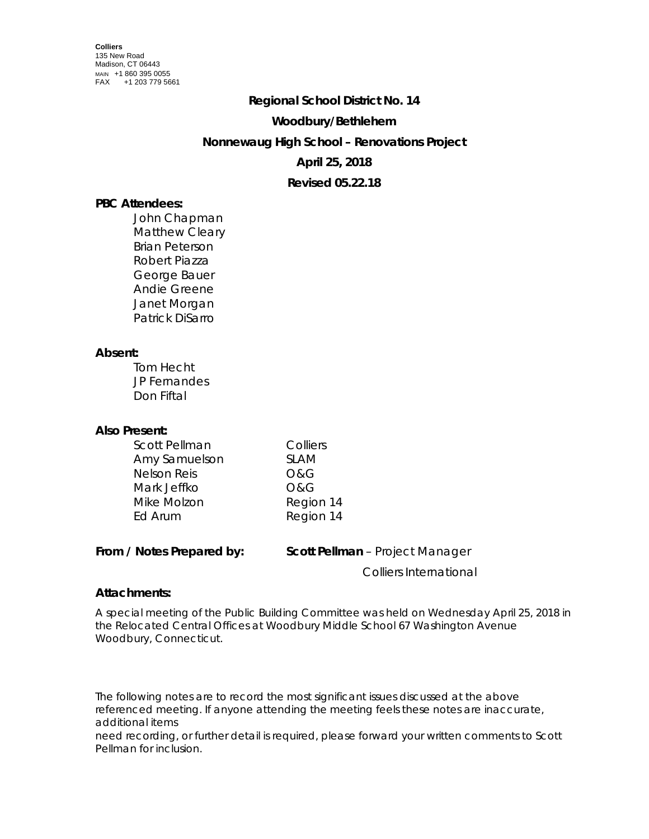#### **Regional School District No. 14**

#### **Woodbury/Bethlehem**

# **Nonnewaug High School – Renovations Project**

# **April 25, 2018**

## **Revised 05.22.18**

## **PBC Attendees:**

John Chapman Matthew Cleary Brian Peterson Robert Piazza George Bauer Andie Greene Janet Morgan Patrick DiSarro

#### **Absent:**

Tom Hecht JP Fernandes Don Fiftal

### **Also Present:**

| Scott Pellman      | Colliers    |
|--------------------|-------------|
| Amy Samuelson      | <b>SLAM</b> |
| <b>Nelson Reis</b> | O&G         |
| Mark Jeffko        | O&G         |
| Mike Molzon        | Region 14   |
| Ed Arum            | Region 14   |

#### **From / Notes Prepared by: Scott Pellman** – Project Manager

Colliers International

### **Attachments:**

A special meeting of the Public Building Committee was held on Wednesday April 25, 2018 in the Relocated Central Offices at Woodbury Middle School 67 Washington Avenue Woodbury, Connecticut.

The following notes are to record the most significant issues discussed at the above referenced meeting. If anyone attending the meeting feels these notes are inaccurate, additional items

need recording, or further detail is required, please forward your written comments to Scott Pellman for inclusion.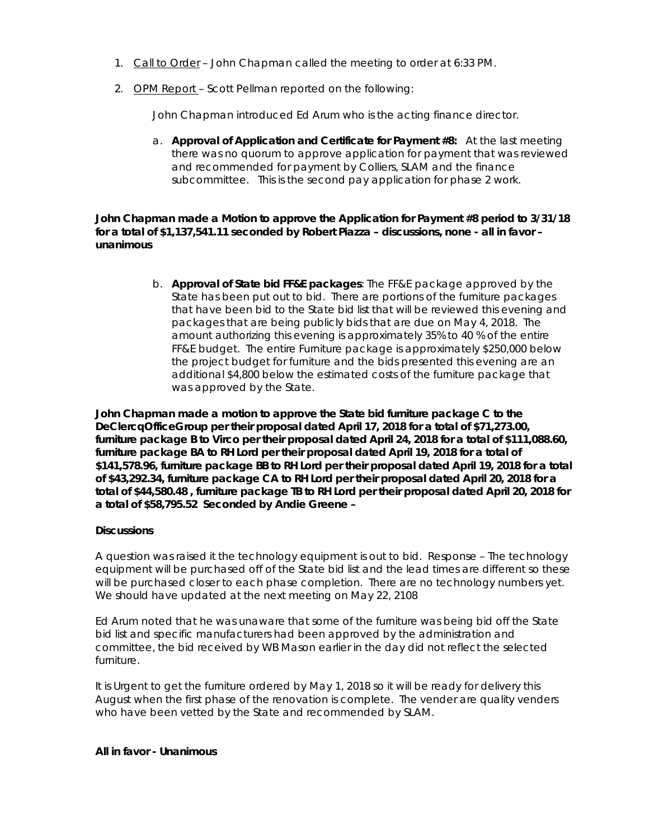- 1. Call to Order John Chapman called the meeting to order at 6:33 PM.
- 2. OPM Report Scott Pellman reported on the following:

John Chapman introduced Ed Arum who is the acting finance director.

a. **Approval of Application and Certificate for Payment #8:** At the last meeting there was no quorum to approve application for payment that was reviewed and recommended for payment by Colliers, SLAM and the finance subcommittee. This is the second pay application for phase 2 work.

**John Chapman made a Motion to approve the Application for Payment #8 period to 3/31/18 for a total of \$1,137,541.11 seconded by Robert Piazza – discussions, none - all in favor – unanimous**

> b. **Approval of State bid FF&E packages**: The FF&E package approved by the State has been put out to bid. There are portions of the furniture packages that have been bid to the State bid list that will be reviewed this evening and packages that are being publicly bids that are due on May 4, 2018. The amount authorizing this evening is approximately 35% to 40 % of the entire FF&E budget. The entire Furniture package is approximately \$250,000 below the project budget for furniture and the bids presented this evening are an additional \$4,800 below the estimated costs of the furniture package that was approved by the State.

**John Chapman made a motion to approve the State bid furniture package C to the DeClercqOfficeGroup per their proposal dated April 17, 2018 for a total of \$71,273.00, furniture package B to Virco per their proposal dated April 24, 2018 for a total of \$111,088.60, furniture package BA to RH Lord per their proposal dated April 19, 2018 for a total of \$141,578.96, furniture package BB to RH Lord per their proposal dated April 19, 2018 for a total of \$43,292.34, furniture package CA to RH Lord per their proposal dated April 20, 2018 for a total of \$44,580.48 , furniture package TB to RH Lord per their proposal dated April 20, 2018 for a total of \$58,795.52 Seconded by Andie Greene –**

### **Discussions**

A question was raised it the technology equipment is out to bid. Response – The technology equipment will be purchased off of the State bid list and the lead times are different so these will be purchased closer to each phase completion. There are no technology numbers yet. We should have updated at the next meeting on May 22, 2108

Ed Arum noted that he was unaware that some of the furniture was being bid off the State bid list and specific manufacturers had been approved by the administration and committee, the bid received by WB Mason earlier in the day did not reflect the selected furniture.

It is Urgent to get the furniture ordered by May 1, 2018 so it will be ready for delivery this August when the first phase of the renovation is complete. The vender are quality venders who have been vetted by the State and recommended by SLAM.

### **All in favor - Unanimous**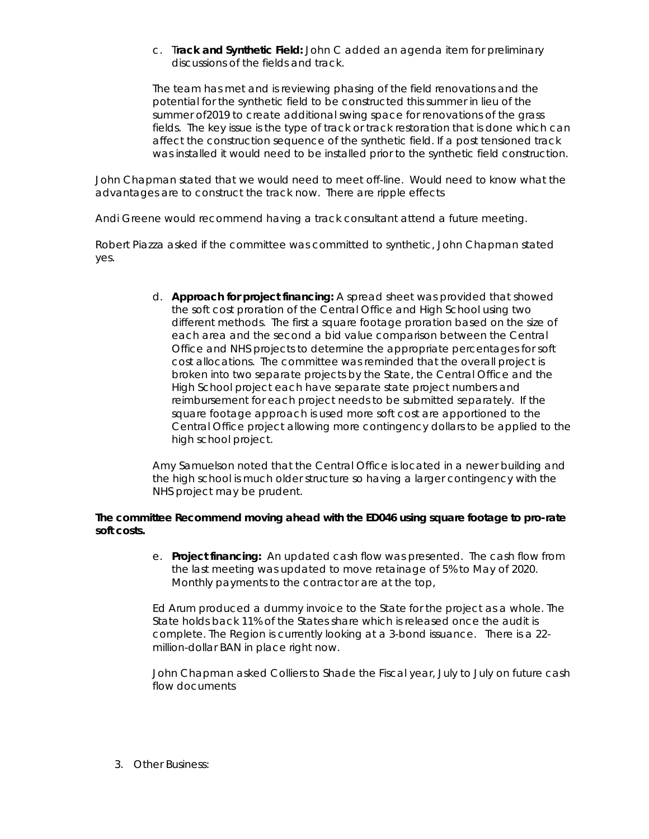c. T**rack and Synthetic Field:** John C added an agenda item for preliminary discussions of the fields and track.

The team has met and is reviewing phasing of the field renovations and the potential for the synthetic field to be constructed this summer in lieu of the summer of2019 to create additional swing space for renovations of the grass fields. The key issue is the type of track or track restoration that is done which can affect the construction sequence of the synthetic field. If a post tensioned track was installed it would need to be installed prior to the synthetic field construction.

John Chapman stated that we would need to meet off-line. Would need to know what the advantages are to construct the track now. There are ripple effects

Andi Greene would recommend having a track consultant attend a future meeting.

Robert Piazza asked if the committee was committed to synthetic, John Chapman stated yes.

> d. **Approach for project financing:** A spread sheet was provided that showed the soft cost proration of the Central Office and High School using two different methods. The first a square footage proration based on the size of each area and the second a bid value comparison between the Central Office and NHS projects to determine the appropriate percentages for soft cost allocations. The committee was reminded that the overall project is broken into two separate projects by the State, the Central Office and the High School project each have separate state project numbers and reimbursement for each project needs to be submitted separately. If the square footage approach is used more soft cost are apportioned to the Central Office project allowing more contingency dollars to be applied to the high school project.

Amy Samuelson noted that the Central Office is located in a newer building and the high school is much older structure so having a larger contingency with the NHS project may be prudent.

### **The committee Recommend moving ahead with the ED046 using square footage to pro-rate soft costs.**

e. **Project financing:** An updated cash flow was presented. The cash flow from the last meeting was updated to move retainage of 5% to May of 2020. Monthly payments to the contractor are at the top,

Ed Arum produced a dummy invoice to the State for the project as a whole. The State holds back 11% of the States share which is released once the audit is complete. The Region is currently looking at a 3-bond issuance. There is a 22 million-dollar BAN in place right now.

John Chapman asked Colliers to Shade the Fiscal year, July to July on future cash flow documents

3. Other Business: